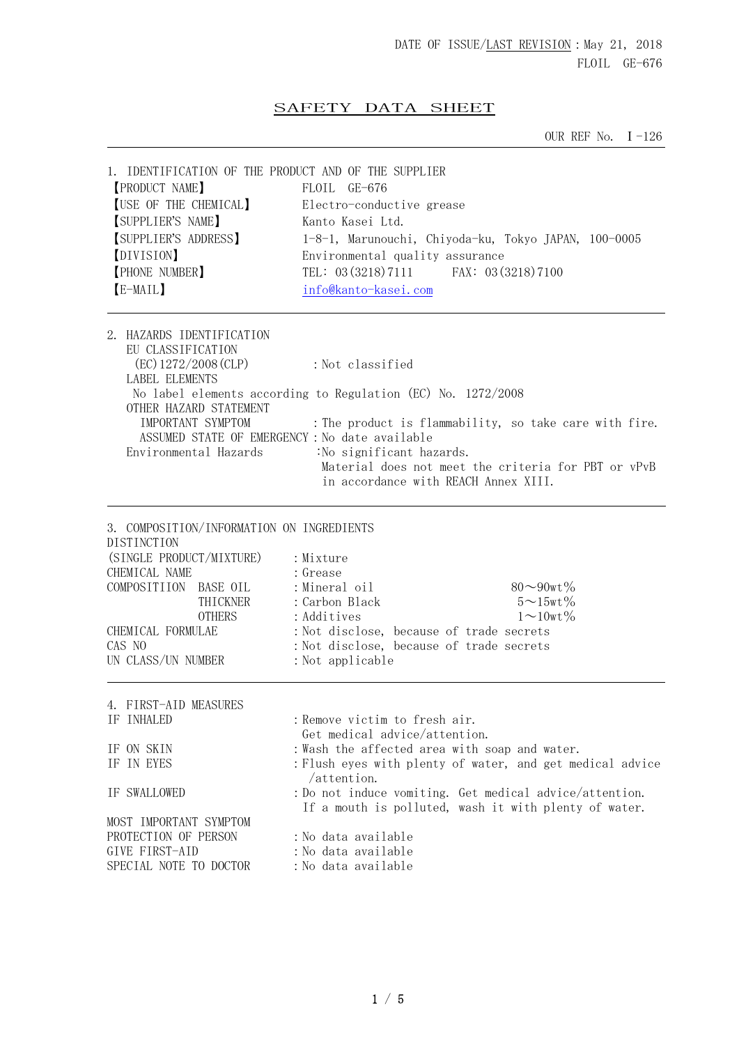## SAFETY DATA SHEET

OUR REF No. Ⅰ-126

| 1. IDENTIFICATION OF THE PRODUCT AND OF THE SUPPLIER                                                                                                                                                                    |                                                                                                                                                                                                                                                        |  |  |
|-------------------------------------------------------------------------------------------------------------------------------------------------------------------------------------------------------------------------|--------------------------------------------------------------------------------------------------------------------------------------------------------------------------------------------------------------------------------------------------------|--|--|
| <b>[PRODUCT NAME]</b>                                                                                                                                                                                                   | FLOIL GE-676                                                                                                                                                                                                                                           |  |  |
| [USE OF THE CHEMICAL]                                                                                                                                                                                                   | Electro-conductive grease                                                                                                                                                                                                                              |  |  |
| SUPPLIER'S NAME]                                                                                                                                                                                                        | Kanto Kasei Ltd.                                                                                                                                                                                                                                       |  |  |
| [SUPPLIER'S ADDRESS]                                                                                                                                                                                                    | 1-8-1, Marunouchi, Chiyoda-ku, Tokyo JAPAN, 100-0005                                                                                                                                                                                                   |  |  |
| [DIVISION]                                                                                                                                                                                                              |                                                                                                                                                                                                                                                        |  |  |
| [PHONE NUMBER]                                                                                                                                                                                                          | Environmental quality assurance<br>TEL: 03 (3218) 7111 FAX: 03 (3218) 7100                                                                                                                                                                             |  |  |
|                                                                                                                                                                                                                         |                                                                                                                                                                                                                                                        |  |  |
| [E-MAIL]                                                                                                                                                                                                                | info@kanto-kasei.com                                                                                                                                                                                                                                   |  |  |
| 2. HAZARDS IDENTIFICATION                                                                                                                                                                                               |                                                                                                                                                                                                                                                        |  |  |
| EU CLASSIFICATION                                                                                                                                                                                                       |                                                                                                                                                                                                                                                        |  |  |
| $EC)$ 1272/2008 (CLP)                                                                                                                                                                                                   | : Not classified                                                                                                                                                                                                                                       |  |  |
| LABEL ELEMENTS                                                                                                                                                                                                          |                                                                                                                                                                                                                                                        |  |  |
|                                                                                                                                                                                                                         | No label elements according to Regulation (EC) No. 1272/2008                                                                                                                                                                                           |  |  |
| OTHER HAZARD STATEMENT                                                                                                                                                                                                  |                                                                                                                                                                                                                                                        |  |  |
| IMPORTANT SYMPTOM                                                                                                                                                                                                       | : The product is flammability, so take care with fire.                                                                                                                                                                                                 |  |  |
|                                                                                                                                                                                                                         | ASSUMED STATE OF EMERGENCY : No date available                                                                                                                                                                                                         |  |  |
| Environmental Hazards                                                                                                                                                                                                   | :No significant hazards.                                                                                                                                                                                                                               |  |  |
|                                                                                                                                                                                                                         | Material does not meet the criteria for PBT or vPvB                                                                                                                                                                                                    |  |  |
|                                                                                                                                                                                                                         | in accordance with REACH Annex XIII.                                                                                                                                                                                                                   |  |  |
| 3. COMPOSITION/INFORMATION ON INGREDIENTS<br><b>DISTINCTION</b><br>(SINGLE PRODUCT/MIXTURE)<br>CHEMICAL NAME<br>COMPOSITIION BASE OIL<br>THICKNER<br><b>OTHERS</b><br>CHEMICAL FORMULAE<br>CAS NO<br>UN CLASS/UN NUMBER | : Mixture<br>: Grease<br>: Mineral oil<br>$80 \sim 90$ wt $\%$<br>$5 \sim 15$ wt $\%$<br>: Carbon Black<br>: Additives<br>$1 \sim 10$ wt %<br>: Not disclose, because of trade secrets<br>: Not disclose, because of trade secrets<br>: Not applicable |  |  |
| 4. FIRST-AID MEASURES                                                                                                                                                                                                   |                                                                                                                                                                                                                                                        |  |  |
| IF INHALED                                                                                                                                                                                                              | : Remove victim to fresh air.                                                                                                                                                                                                                          |  |  |
|                                                                                                                                                                                                                         | Get medical advice/attention.                                                                                                                                                                                                                          |  |  |
| IF ON SKIN                                                                                                                                                                                                              | : Wash the affected area with soap and water.                                                                                                                                                                                                          |  |  |
| IF IN EYES                                                                                                                                                                                                              | : Flush eyes with plenty of water, and get medical advice                                                                                                                                                                                              |  |  |
|                                                                                                                                                                                                                         | $/$ attention.                                                                                                                                                                                                                                         |  |  |
| IF SWALLOWED                                                                                                                                                                                                            | : Do not induce vomiting. Get medical advice/attention.                                                                                                                                                                                                |  |  |
|                                                                                                                                                                                                                         | If a mouth is polluted, wash it with plenty of water.                                                                                                                                                                                                  |  |  |
| MOST IMPORTANT SYMPTOM                                                                                                                                                                                                  |                                                                                                                                                                                                                                                        |  |  |
| PROTECTION OF PERSON                                                                                                                                                                                                    | :No data available                                                                                                                                                                                                                                     |  |  |
| GIVE FIRST-AID                                                                                                                                                                                                          | :No data available                                                                                                                                                                                                                                     |  |  |
| SPECIAL NOTE TO DOCTOR                                                                                                                                                                                                  | : No data available                                                                                                                                                                                                                                    |  |  |
|                                                                                                                                                                                                                         |                                                                                                                                                                                                                                                        |  |  |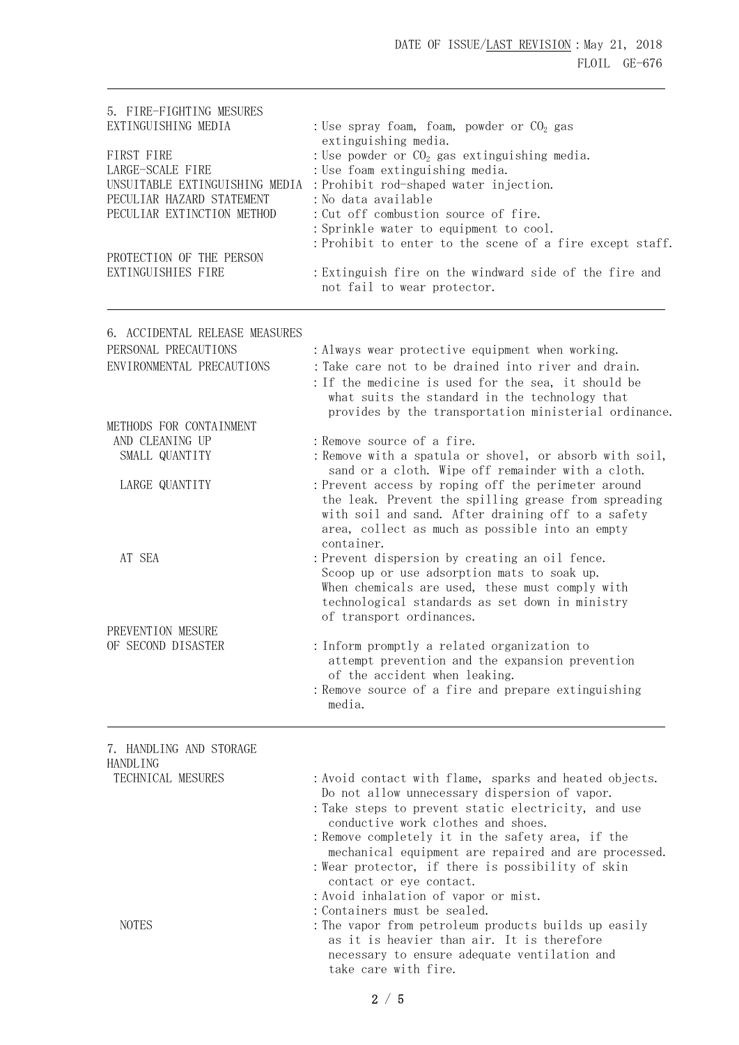| 5. FIRE-FIGHTING MESURES<br>EXTINGUISHING MEDIA                                                                                                                               | : Use spray foam, foam, powder or $CO2$ gas                                                                                                                                                                                                                                                                                                                                                                       |  |  |
|-------------------------------------------------------------------------------------------------------------------------------------------------------------------------------|-------------------------------------------------------------------------------------------------------------------------------------------------------------------------------------------------------------------------------------------------------------------------------------------------------------------------------------------------------------------------------------------------------------------|--|--|
| FIRST FIRE<br>LARGE-SCALE FIRE<br>UNSUITABLE EXTINGUISHING MEDIA<br>PECULIAR HAZARD STATEMENT<br>PECULIAR EXTINCTION METHOD<br>PROTECTION OF THE PERSON<br>EXTINGUISHIES FIRE | extinguishing media.<br>: Use powder or $CO2$ gas extinguishing media.<br>: Use foam extinguishing media.<br>: Prohibit rod-shaped water injection.<br>: No data available<br>: Cut off combustion source of fire.<br>: Sprinkle water to equipment to cool.<br>: Prohibit to enter to the scene of a fire except staff.<br>: Extinguish fire on the windward side of the fire and<br>not fail to wear protector. |  |  |
|                                                                                                                                                                               |                                                                                                                                                                                                                                                                                                                                                                                                                   |  |  |
| 6. ACCIDENTAL RELEASE MEASURES<br>PERSONAL PRECAUTIONS<br>ENVIRONMENTAL PRECAUTIONS                                                                                           | : Always wear protective equipment when working.<br>: Take care not to be drained into river and drain.<br>: If the medicine is used for the sea, it should be<br>what suits the standard in the technology that                                                                                                                                                                                                  |  |  |
| METHODS FOR CONTAINMENT<br>AND CLEANING UP<br>SMALL QUANTITY                                                                                                                  | provides by the transportation ministerial ordinance.<br>: Remove source of a fire.<br>: Remove with a spatula or shovel, or absorb with soil,                                                                                                                                                                                                                                                                    |  |  |
| LARGE QUANTITY                                                                                                                                                                | sand or a cloth. Wipe off remainder with a cloth.<br>: Prevent access by roping off the perimeter around<br>the leak. Prevent the spilling grease from spreading<br>with soil and sand. After draining off to a safety<br>area, collect as much as possible into an empty<br>container.                                                                                                                           |  |  |
| AT SEA                                                                                                                                                                        | : Prevent dispersion by creating an oil fence.<br>Scoop up or use adsorption mats to soak up.<br>When chemicals are used, these must comply with<br>technological standards as set down in ministry                                                                                                                                                                                                               |  |  |
| PREVENTION MESURE                                                                                                                                                             | of transport ordinances.                                                                                                                                                                                                                                                                                                                                                                                          |  |  |
| OF SECOND DISASTER                                                                                                                                                            | : Inform promptly a related organization to<br>attempt prevention and the expansion prevention<br>of the accident when leaking.<br>: Remove source of a fire and prepare extinguishing<br>media.                                                                                                                                                                                                                  |  |  |
| 7. HANDLING AND STORAGE                                                                                                                                                       |                                                                                                                                                                                                                                                                                                                                                                                                                   |  |  |
| HANDLING<br>TECHNICAL MESURES                                                                                                                                                 | : Avoid contact with flame, sparks and heated objects.<br>Do not allow unnecessary dispersion of vapor.<br>: Take steps to prevent static electricity, and use<br>conductive work clothes and shoes.<br>: Remove completely it in the safety area, if the<br>mechanical equipment are repaired and are processed.<br>: Wear protector, if there is possibility of skin<br>contact or eye contact.                 |  |  |
| <b>NOTES</b>                                                                                                                                                                  | : Avoid inhalation of vapor or mist.<br>: Containers must be sealed.<br>: The vapor from petroleum products builds up easily<br>as it is heavier than air. It is therefore<br>necessary to ensure adequate ventilation and                                                                                                                                                                                        |  |  |

take care with fire.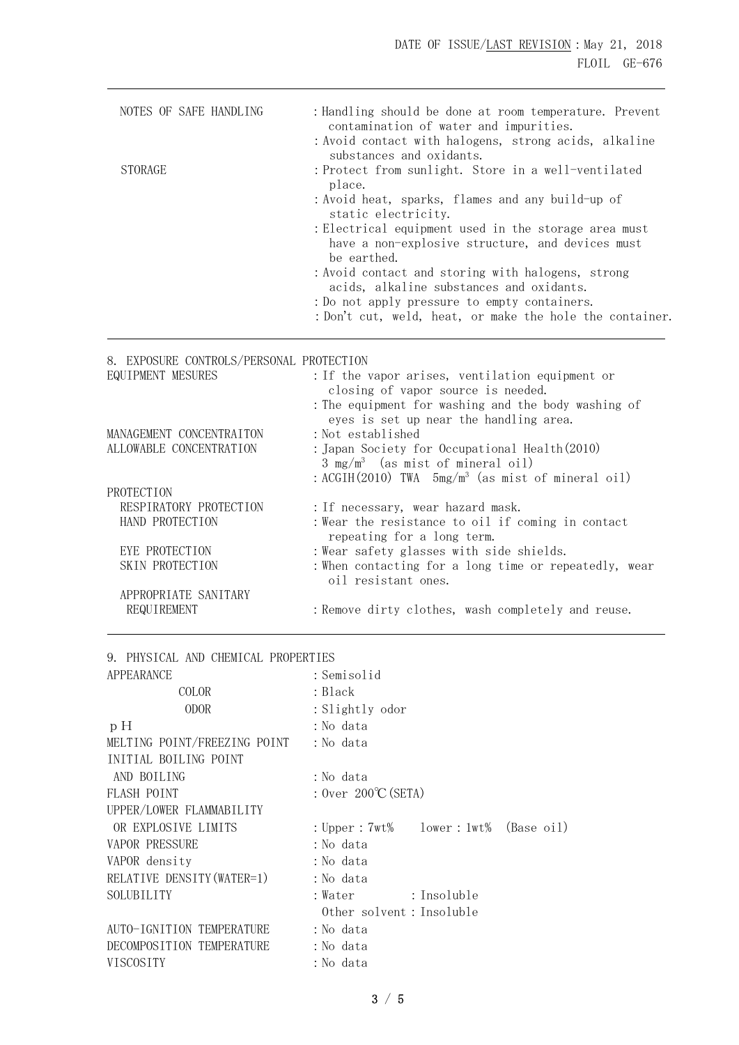|                                                                                             | : Handling should be done at room temperature. Prevent<br>contamination of water and impurities.<br>: Avoid contact with halogens, strong acids, alkaline |
|---------------------------------------------------------------------------------------------|-----------------------------------------------------------------------------------------------------------------------------------------------------------|
| <b>STORAGE</b>                                                                              | substances and oxidants.<br>: Protect from sunlight. Store in a well-ventilated                                                                           |
|                                                                                             | place.<br>: Avoid heat, sparks, flames and any build-up of<br>static electricity.                                                                         |
|                                                                                             | : Electrical equipment used in the storage area must<br>have a non-explosive structure, and devices must<br>be earthed.                                   |
|                                                                                             | : Avoid contact and storing with halogens, strong<br>acids, alkaline substances and oxidants.                                                             |
|                                                                                             | : Do not apply pressure to empty containers.<br>: Don't cut, weld, heat, or make the hole the container.                                                  |
|                                                                                             |                                                                                                                                                           |
| 8. EXPOSURE CONTROLS/PERSONAL PROTECTION                                                    |                                                                                                                                                           |
| EQUIPMENT MESURES                                                                           |                                                                                                                                                           |
|                                                                                             | : If the vapor arises, ventilation equipment or                                                                                                           |
|                                                                                             | closing of vapor source is needed.                                                                                                                        |
|                                                                                             | : The equipment for washing and the body washing of                                                                                                       |
|                                                                                             | eyes is set up near the handling area.                                                                                                                    |
|                                                                                             | : Not established                                                                                                                                         |
|                                                                                             | : Japan Society for Occupational Health (2010)                                                                                                            |
|                                                                                             | $3 \text{ mg/m}^3$ (as mist of mineral oil)                                                                                                               |
|                                                                                             | : ACGIH $(2010)$ TWA $5mg/m^3$ (as mist of mineral oil)                                                                                                   |
| MANAGEMENT CONCENTRAITON<br>ALLOWABLE CONCENTRATION<br>PROTECTION<br>RESPIRATORY PROTECTION |                                                                                                                                                           |
| HAND PROTECTION                                                                             | : If necessary, wear hazard mask.<br>: Wear the resistance to oil if coming in contact                                                                    |
|                                                                                             | repeating for a long term.                                                                                                                                |
| EYE PROTECTION                                                                              | : Wear safety glasses with side shields.                                                                                                                  |
| SKIN PROTECTION                                                                             | : When contacting for a long time or repeatedly, wear<br>oil resistant ones.                                                                              |
| APPROPRIATE SANITARY                                                                        |                                                                                                                                                           |
| REQUIREMENT                                                                                 | : Remove dirty clothes, wash completely and reuse.                                                                                                        |

|  |  |  |  |  | 9. PHYSICAL AND CHEMICAL PROPERTIES |
|--|--|--|--|--|-------------------------------------|
|--|--|--|--|--|-------------------------------------|

| APPEARANCE                   | : Semisolid                            |
|------------------------------|----------------------------------------|
| COLOR                        | : Black                                |
| <b>ODOR</b>                  | : Slightly odor                        |
| pH                           | :No data                               |
| MELTING POINT/FREEZING POINT | :No data                               |
| INITIAL BOILING POINT        |                                        |
| AND BOILING                  | :No data                               |
| FLASH POINT                  | : Over $200^{\circ}$ C (SETA)          |
| UPPER/LOWER FLAMMABILITY     |                                        |
| OR EXPLOSIVE LIMITS          | : Upper : 7wt% lower : 1wt% (Base oil) |
| <b>VAPOR PRESSURE</b>        | : No data                              |
| VAPOR density                | : No data                              |
| RELATIVE DENSITY (WATER=1)   | : No data                              |
| SOLUBILITY                   | : Insoluble<br>:Water                  |
|                              | Other solvent: Insoluble               |
| AUTO-IGNITION TEMPERATURE    | :No data                               |
| DECOMPOSITION TEMPERATURE    | :No data                               |
| VISCOSITY                    | :No data                               |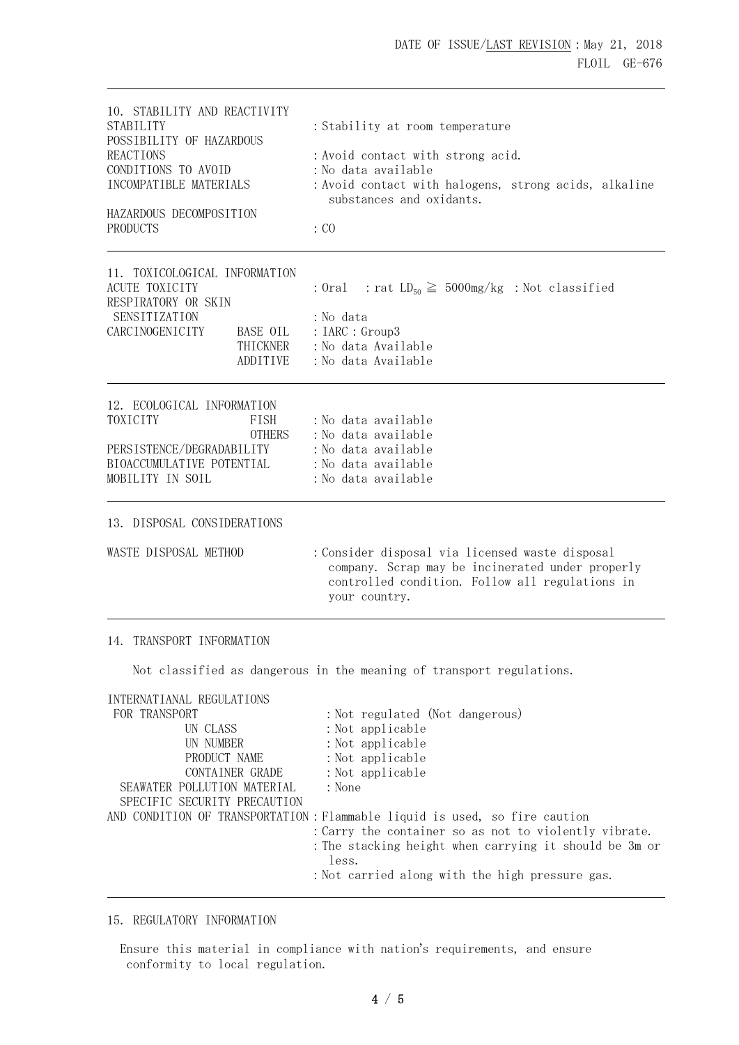| 10. STABILITY AND REACTIVITY<br>STABILITY<br>POSSIBILITY OF HAZARDOUS<br><b>REACTIONS</b><br>CONDITIONS TO AVOID<br>INCOMPATIBLE MATERIALS<br>HAZARDOUS DECOMPOSITION<br>PRODUCTS | : Stability at room temperature<br>: Avoid contact with strong acid.<br>:No data available<br>: Avoid contact with halogens, strong acids, alkaline<br>substances and oxidants.<br>: CO                                                                           |  |  |
|-----------------------------------------------------------------------------------------------------------------------------------------------------------------------------------|-------------------------------------------------------------------------------------------------------------------------------------------------------------------------------------------------------------------------------------------------------------------|--|--|
| 11. TOXICOLOGICAL INFORMATION<br><b>ACUTE TOXICITY</b><br>RESPIRATORY OR SKIN<br>SENSITIZATION<br>CARCINOGENICITY<br>BASE OIL<br>THICKNER<br>ADDITIVE                             | : Oral : rat $LD_{50} \ge 5000$ mg/kg : Not classified<br>: No data<br>: IARC : Group3<br>: No data Available<br>: No data Available                                                                                                                              |  |  |
| 12. ECOLOGICAL INFORMATION<br>TOXICITY<br>FISH<br><b>OTHERS</b><br>PERSISTENCE/DEGRADABILITY<br>BIOACCUMULATIVE POTENTIAL<br>MOBILITY IN SOIL                                     | :No data available<br>: No data available<br>: No data available<br>: No data available<br>: No data available                                                                                                                                                    |  |  |
| 13. DISPOSAL CONSIDERATIONS                                                                                                                                                       |                                                                                                                                                                                                                                                                   |  |  |
| WASTE DISPOSAL METHOD                                                                                                                                                             | : Consider disposal via licensed waste disposal<br>company. Scrap may be incinerated under properly<br>controlled condition. Follow all regulations in<br>your country.                                                                                           |  |  |
| 14. TRANSPORT INFORMATION                                                                                                                                                         |                                                                                                                                                                                                                                                                   |  |  |
|                                                                                                                                                                                   | Not classified as dangerous in the meaning of transport regulations.                                                                                                                                                                                              |  |  |
| INTERNATIANAL REGULATIONS<br>FOR TRANSPORT<br>UN CLASS<br>UN NUMBER<br>PRODUCT NAME<br>CONTAINER GRADE<br>SEAWATER POLLUTION MATERIAL<br>SPECIFIC SECURITY PRECAUTION             | : Not regulated (Not dangerous)<br>: Not applicable<br>: Not applicable<br>: Not applicable<br>: Not applicable<br>: None<br>AND CONDITION OF TRANSPORTATION : Flammable liquid is used, so fire caution<br>: Carry the container so as not to violently vibrate. |  |  |

 :The stacking height when carrying it should be 3m or less.

## :Not carried along with the high pressure gas.

## 15. REGULATORY INFORMATION

 Ensure this material in compliance with nation's requirements, and ensure conformity to local regulation.